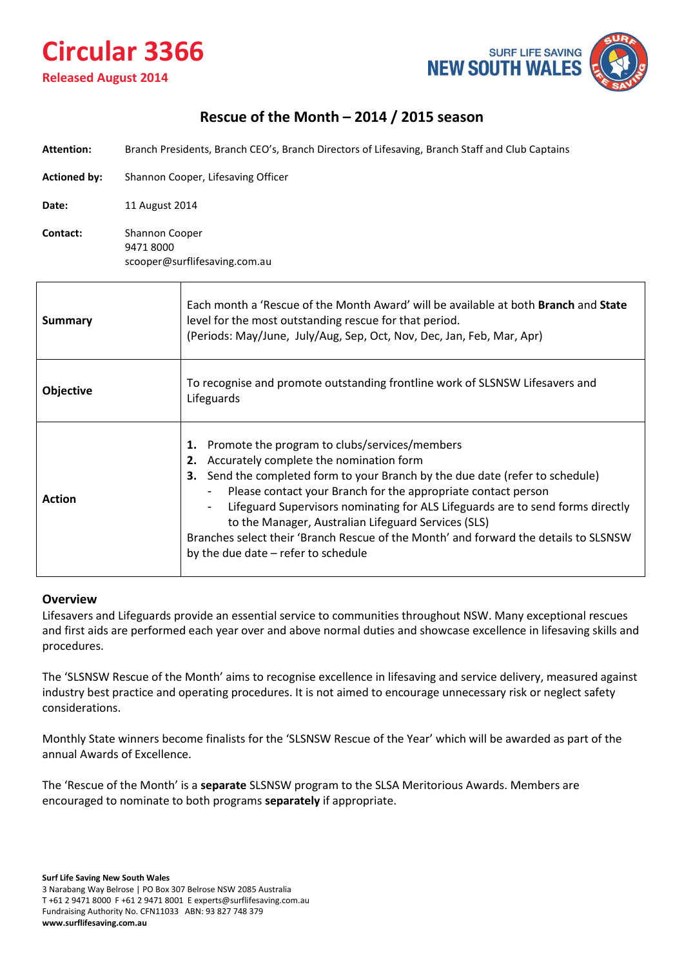# **Circular 3366 Released August 2014**



## **Rescue of the Month – 2014 / 2015 season**

|  | <b>Attention:</b> | Branch Presidents, Branch CEO's, Branch Directors of Lifesaving, Branch Staff and Club Captains |
|--|-------------------|-------------------------------------------------------------------------------------------------|
|--|-------------------|-------------------------------------------------------------------------------------------------|

**Actioned by:** Shannon Cooper, Lifesaving Officer

**Date:** 11 August 2014

**Contact:** Shannon Cooper 9471 8000 scooper@surflifesaving.com.au

| Summary          | Each month a 'Rescue of the Month Award' will be available at both Branch and State<br>level for the most outstanding rescue for that period.<br>(Periods: May/June, July/Aug, Sep, Oct, Nov, Dec, Jan, Feb, Mar, Apr)                                                                                                                                                                                                                                                                                                                                      |  |  |  |
|------------------|-------------------------------------------------------------------------------------------------------------------------------------------------------------------------------------------------------------------------------------------------------------------------------------------------------------------------------------------------------------------------------------------------------------------------------------------------------------------------------------------------------------------------------------------------------------|--|--|--|
| <b>Objective</b> | To recognise and promote outstanding frontline work of SLSNSW Lifesavers and<br>Lifeguards                                                                                                                                                                                                                                                                                                                                                                                                                                                                  |  |  |  |
| <b>Action</b>    | Promote the program to clubs/services/members<br>Accurately complete the nomination form<br>Send the completed form to your Branch by the due date (refer to schedule)<br>з.<br>Please contact your Branch for the appropriate contact person<br>$\blacksquare$<br>Lifeguard Supervisors nominating for ALS Lifeguards are to send forms directly<br>$\blacksquare$<br>to the Manager, Australian Lifeguard Services (SLS)<br>Branches select their 'Branch Rescue of the Month' and forward the details to SLSNSW<br>by the due date $-$ refer to schedule |  |  |  |

#### **Overview**

Lifesavers and Lifeguards provide an essential service to communities throughout NSW. Many exceptional rescues and first aids are performed each year over and above normal duties and showcase excellence in lifesaving skills and procedures.

The 'SLSNSW Rescue of the Month' aims to recognise excellence in lifesaving and service delivery, measured against industry best practice and operating procedures. It is not aimed to encourage unnecessary risk or neglect safety considerations.

Monthly State winners become finalists for the 'SLSNSW Rescue of the Year' which will be awarded as part of the annual Awards of Excellence.

The 'Rescue of the Month' is a **separate** SLSNSW program to the SLSA Meritorious Awards. Members are encouraged to nominate to both programs **separately** if appropriate.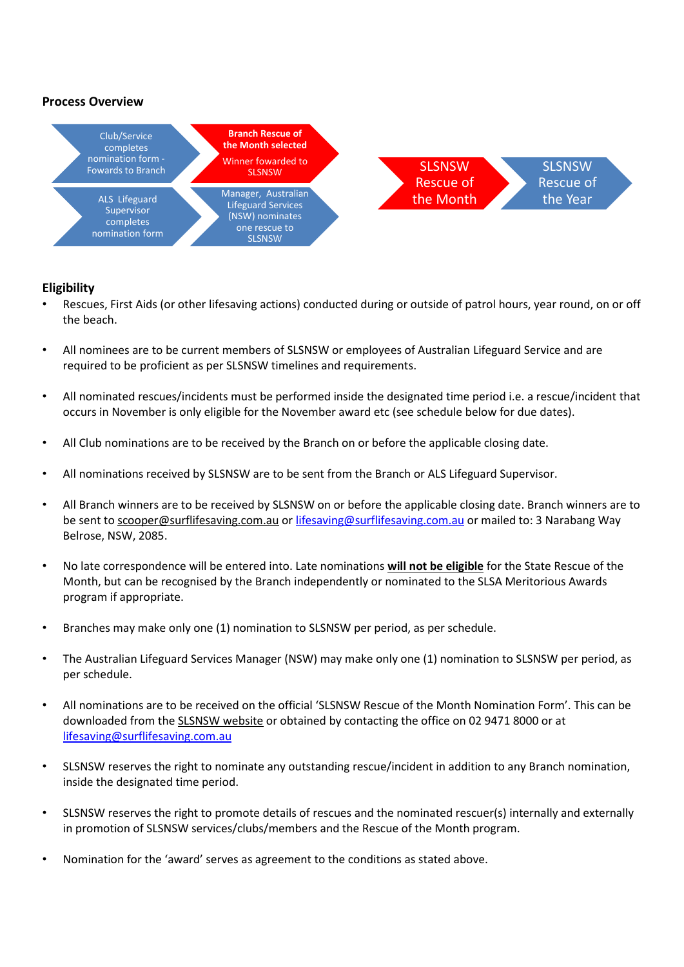



#### **Eligibility**

- Rescues, First Aids (or other lifesaving actions) conducted during or outside of patrol hours, year round, on or off the beach.
- All nominees are to be current members of SLSNSW or employees of Australian Lifeguard Service and are required to be proficient as per SLSNSW timelines and requirements.
- All nominated rescues/incidents must be performed inside the designated time period i.e. a rescue/incident that occurs in November is only eligible for the November award etc (see schedule below for due dates).
- All Club nominations are to be received by the Branch on or before the applicable closing date.
- All nominations received by SLSNSW are to be sent from the Branch or ALS Lifeguard Supervisor.
- All Branch winners are to be received by SLSNSW on or before the applicable closing date. Branch winners are to be sent to [scooper@surflifesaving.com.au](mailto:scooper@surflifesaving.com.au) o[r lifesaving@surflifesaving.com.au](mailto:lifesaving@surflifesaving.com.au) or mailed to: 3 Narabang Way Belrose, NSW, 2085.
- No late correspondence will be entered into. Late nominations **will not be eligible** for the State Rescue of the Month, but can be recognised by the Branch independently or nominated to the SLSA Meritorious Awards program if appropriate.
- Branches may make only one (1) nomination to SLSNSW per period, as per schedule.
- The Australian Lifeguard Services Manager (NSW) may make only one (1) nomination to SLSNSW per period, as per schedule.
- All nominations are to be received on the official 'SLSNSW Rescue of the Month Nomination Form'. This can be downloaded from the [SLSNSW website](http://www.surflifesaving.com.au/members/recognition/rescue-of-the-month) or obtained by contacting the office on 02 9471 8000 or at [lifesaving@surflifesaving.com.au](mailto:lifesaving@surflifesaving.com.au)
- SLSNSW reserves the right to nominate any outstanding rescue/incident in addition to any Branch nomination, inside the designated time period.
- SLSNSW reserves the right to promote details of rescues and the nominated rescuer(s) internally and externally in promotion of SLSNSW services/clubs/members and the Rescue of the Month program.
- Nomination for the 'award' serves as agreement to the conditions as stated above.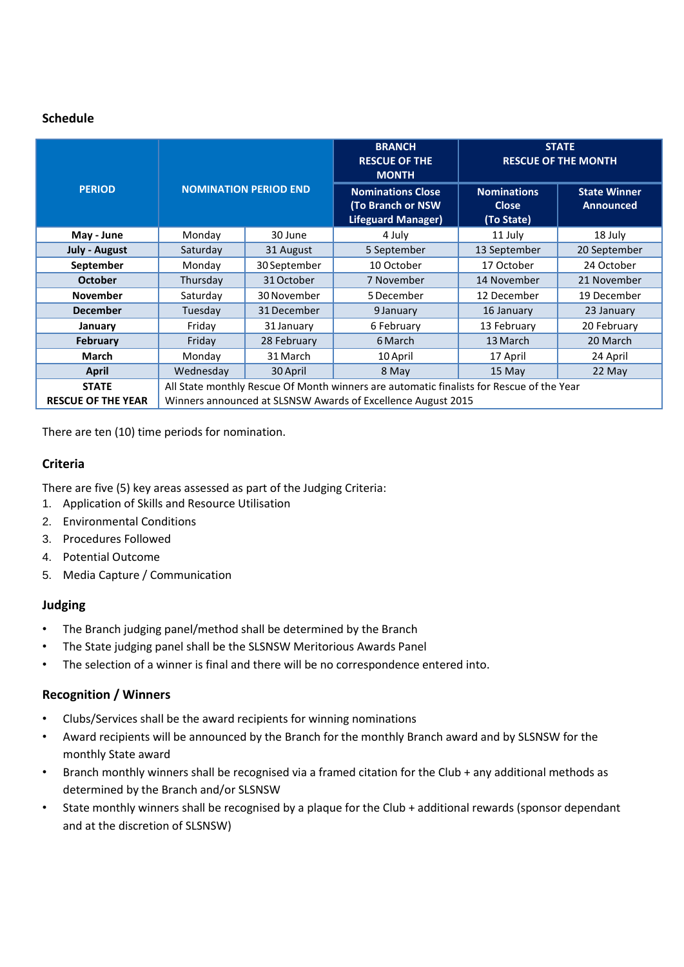#### **Schedule**

|                           |                                                                                          |                              | <b>BRANCH</b><br><b>RESCUE OF THE</b><br><b>MONTH</b>                      | <b>STATE</b><br><b>RESCUE OF THE MONTH</b>       |                                         |
|---------------------------|------------------------------------------------------------------------------------------|------------------------------|----------------------------------------------------------------------------|--------------------------------------------------|-----------------------------------------|
| <b>PERIOD</b>             |                                                                                          | <b>NOMINATION PERIOD END</b> | <b>Nominations Close</b><br>(To Branch or NSW<br><b>Lifeguard Manager)</b> | <b>Nominations</b><br><b>Close</b><br>(To State) | <b>State Winner</b><br><b>Announced</b> |
| May - June                | Monday                                                                                   | 30 June                      | 4 July                                                                     | 11 July                                          | 18 July                                 |
| <b>July - August</b>      | Saturday                                                                                 | 31 August                    | 5 September                                                                | 13 September                                     | 20 September                            |
| September                 | Monday                                                                                   | 30 September                 | 10 October                                                                 | 17 October                                       | 24 October                              |
| <b>October</b>            | Thursday                                                                                 | 31 October                   | 7 November                                                                 | 14 November                                      | 21 November                             |
| <b>November</b>           | Saturday                                                                                 | 30 November                  | 5 December                                                                 | 12 December                                      | 19 December                             |
| <b>December</b>           | Tuesday                                                                                  | 31 December                  | 9 January                                                                  | 16 January                                       | 23 January                              |
| January                   | Friday                                                                                   | 31 January                   | 6 February                                                                 | 13 February                                      | 20 February                             |
| <b>February</b>           | Friday                                                                                   | 28 February                  | 6 March                                                                    | 13 March                                         | 20 March                                |
| <b>March</b>              | Monday                                                                                   | 31 March                     | 10 April                                                                   | 17 April                                         | 24 April                                |
| <b>April</b>              | Wednesday                                                                                | 30 April                     | 8 May                                                                      | 15 May                                           | 22 May                                  |
| <b>STATE</b>              | All State monthly Rescue Of Month winners are automatic finalists for Rescue of the Year |                              |                                                                            |                                                  |                                         |
| <b>RESCUE OF THE YEAR</b> | Winners announced at SLSNSW Awards of Excellence August 2015                             |                              |                                                                            |                                                  |                                         |

There are ten (10) time periods for nomination.

#### **Criteria**

There are five (5) key areas assessed as part of the Judging Criteria:

- 1. Application of Skills and Resource Utilisation
- 2. Environmental Conditions
- 3. Procedures Followed
- 4. Potential Outcome
- 5. Media Capture / Communication

#### **Judging**

- The Branch judging panel/method shall be determined by the Branch
- The State judging panel shall be the SLSNSW Meritorious Awards Panel
- The selection of a winner is final and there will be no correspondence entered into.

#### **Recognition / Winners**

- Clubs/Services shall be the award recipients for winning nominations
- Award recipients will be announced by the Branch for the monthly Branch award and by SLSNSW for the monthly State award
- Branch monthly winners shall be recognised via a framed citation for the Club + any additional methods as determined by the Branch and/or SLSNSW
- State monthly winners shall be recognised by a plaque for the Club + additional rewards (sponsor dependant and at the discretion of SLSNSW)